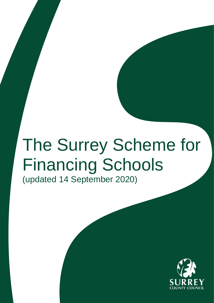# The Surrey Scheme for Financing Schools (updated 14 September 2020)

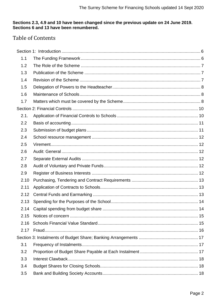# Sections 2.3, 4.9 and 10 have been changed since the previous update on 24 June 2019.<br>Sections 6 and 13 have been renumbered.

# **Table of Contents**

| 1.1  |  |
|------|--|
| 1.2  |  |
| 1.3  |  |
| 1.4  |  |
| 1.5  |  |
| 1.6  |  |
| 1.7  |  |
|      |  |
| 2.1. |  |
| 2.2  |  |
| 2.3  |  |
| 2.4  |  |
| 2.5  |  |
| 2.6  |  |
| 2.7  |  |
| 2.8  |  |
| 2.9  |  |
| 2.10 |  |
| 2.11 |  |
| 2.12 |  |
| 2.13 |  |
|      |  |
| 2.15 |  |
| 2.16 |  |
| 2.17 |  |
|      |  |
| 3.1  |  |
| 3.2  |  |
| 3.3  |  |
| 3.4  |  |
| 3.5  |  |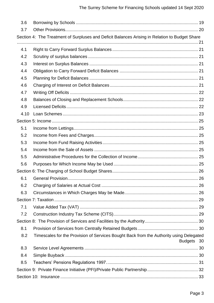| 3.6  |                                                                                                |            |
|------|------------------------------------------------------------------------------------------------|------------|
| 3.7  |                                                                                                |            |
|      | Section 4: The Treatment of Surpluses and Deficit Balances Arising in Relation to Budget Share |            |
| 4.1  |                                                                                                |            |
| 4.2  |                                                                                                |            |
| 4.3  |                                                                                                |            |
| 4.4  |                                                                                                |            |
| 4.5  |                                                                                                |            |
| 4.6  |                                                                                                |            |
| 4.7  |                                                                                                |            |
| 4.8  |                                                                                                |            |
| 4.9  |                                                                                                |            |
| 4.10 |                                                                                                |            |
|      |                                                                                                |            |
| 5.1  |                                                                                                |            |
| 5.2  |                                                                                                |            |
| 5.3  |                                                                                                |            |
| 5.4  |                                                                                                |            |
| 5.5  |                                                                                                |            |
| 5.6  |                                                                                                |            |
|      |                                                                                                |            |
| 6.1  |                                                                                                |            |
| 6.2  |                                                                                                |            |
| 6.3  |                                                                                                |            |
|      |                                                                                                |            |
| 7.1  |                                                                                                |            |
| 7.2  |                                                                                                |            |
|      |                                                                                                |            |
| 8.1  |                                                                                                |            |
| 8.2  | Timescales for the Provision of Services Bought Back from the Authority using Delegated        | Budgets 30 |
| 8.3  |                                                                                                |            |
| 8.4  |                                                                                                |            |
| 8.5  |                                                                                                |            |
|      |                                                                                                |            |
|      |                                                                                                |            |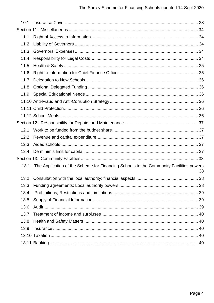| 10.1 |                                                                                        |    |
|------|----------------------------------------------------------------------------------------|----|
|      |                                                                                        |    |
| 11.1 |                                                                                        |    |
| 11.2 |                                                                                        |    |
| 11.3 |                                                                                        |    |
| 11.4 |                                                                                        |    |
| 11.5 |                                                                                        |    |
| 11.6 |                                                                                        |    |
| 11.7 |                                                                                        |    |
| 11.8 |                                                                                        |    |
| 11.9 |                                                                                        |    |
|      |                                                                                        |    |
|      |                                                                                        |    |
|      |                                                                                        |    |
|      |                                                                                        |    |
| 12.1 |                                                                                        |    |
| 12.2 |                                                                                        |    |
| 12.3 |                                                                                        |    |
| 12.4 |                                                                                        |    |
|      |                                                                                        |    |
| 13.1 | The Application of the Scheme for Financing Schools to the Community Facilities powers | 38 |
| 13.2 |                                                                                        |    |
| 13.3 |                                                                                        |    |
| 13.4 |                                                                                        |    |
| 13.5 |                                                                                        |    |
| 13.6 |                                                                                        |    |
| 13.7 |                                                                                        |    |
| 13.8 |                                                                                        |    |
| 13.9 |                                                                                        |    |
|      |                                                                                        |    |
|      |                                                                                        |    |
|      |                                                                                        |    |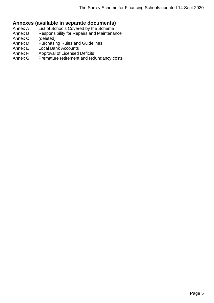# **Annexes (available in separate documents)**

- Annex A List of Schools Covered by the Scheme
- Annex B Responsibility for Repairs and Maintenance
- Annex C (deleted)
- Annex D Purchasing Rules and Guidelines
- Annex E Local Bank Accounts
- Annex F Approval of Licensed Deficits<br>Annex G Premature retirement and red
- Premature retirement and redundancy costs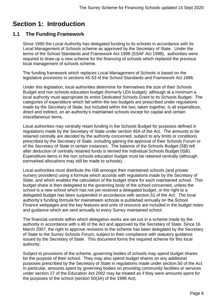# <span id="page-5-0"></span>**Section 1: Introduction**

# <span id="page-5-1"></span>**1.1 The Funding Framework**

Since 1990 the Local Authority has delegated funding to its schools in accordance with its Local Management of Schools scheme as approved by the Secretary of State. Under the terms of the School Standards and Framework Act 1998 (SSAF Act 1998), authorities were required to draw up a new scheme for the financing of schools which replaced the previous local management of schools scheme.

The funding framework which replaces Local Management of Schools is based on the legislative provisions in sections 45-53 of the School Standards and Framework Act 1998.

Under this legislation, local authorities determine for themselves the size of their Schools Budget and non schools education budget (formerly LEA budget) although at a minimum a local authority must appropriate its entire Dedicated Schools Grant to its Schools Budget. The categories of expenditure which fall within the two budgets are prescribed under regulations made by the Secretary of State, but included within the two, taken together, is all expenditure, direct and indirect, on an authority's maintained schools except for capital and certain miscellaneous items.

Local authorities may centrally retain funding in the Schools Budget for purposes defined in regulations made by the Secretary of State under section 45A of the Act. The amounts to be retained centrally are decided by the authority concerned, subject to any limits or conditions prescribed by the Secretary of State, including gaining the approval of their Schools Forum or of the Secretary of State in certain instances. The balance of the Schools Budget (SB) left after deduction of centrally retained funds is termed the Individual Schools Budget (ISB). Expenditure items in the non schools education budget must be retained centrally (although earmarked allocations may still be made to schools).

Local authorities must distribute the ISB amongst their maintained schools (and private nursery providers) using a formula which accords with regulations made by the Secretary of State, and which enables the calculation of the budget share for each maintained school. This budget share is then delegated to the governing body of the school concerned, unless the school is a new school which has not yet received a delegated budget, or the right to a delegated budget has been suspended in accordance with section.51 of the Act. The local authority's funding formula for mainstream schools is published annually on the School Finance webpages and the key features and units of resource are included in the budget notes and guidance which are sent annually to every Surrey maintained school.

The financial controls within which delegation works are set out in a scheme made by the authority in accordance with s.48 of the Act and approved by the Secretary of State. Since 16 March 2007, the right to approve revisions to the scheme has been delegated by the Secretary of State to the Surrey Schools Forum, subject to their compliance with statutory guidance issued by the Secretary of State. This document forms the required scheme for this local authority.

Subject to provisions of the scheme, governing bodies of schools may spend budget shares for the purpose of their school. They may also spend budget shares on any additional purposes prescribed by the Secretary of State in regulations made under section.50 of the Act. In particular, amounts spent by governing bodies on providing community facilities or services under section 27 of the Education Act 2002 may be treated as if they were amounts spent for the purposes of the school (section 50(3A) of the 1998 Act).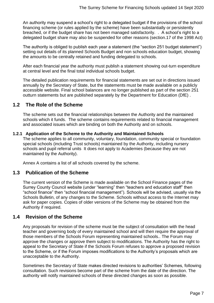An authority may suspend a school's right to a delegated budget if the provisions of the school financing scheme (or rules applied by the scheme) have been substantially or persistently breached, or if the budget share has not been managed satisfactorily. . A school's right to a delegated budget share may also be suspended for other reasons (section.17 of the 1998 Act)

The authority is obliged to publish each year a statement (the "section 251 budget statement") setting out details of its planned Schools Budget and non schools education budget, showing the amounts to be centrally retained and funding delegated to schools.

After each financial year the authority must publish a statement showing out-turn expenditure at central level and the final total individual schools budget.

The detailed publication requirements for financial statements are set out in directions issued annually by the Secretary of State, but the statements must be made available on a publicly accessible website. Final school balances are no longer published as part of the section 251 outturn statements but are published separately by the Department for Education (DfE) .

# <span id="page-6-0"></span>**1.2 The Role of the Scheme**

The scheme sets out the financial relationships between the Authority and the maintained schools which it funds. The scheme contains requirements related to financial management and associated issues which are binding on both the Authority and on schools.

#### **1.2.1 Application of the Scheme to the Authority and Maintained Schools**

The scheme applies to all community, voluntary, foundation, community special or foundation special schools (including Trust schools) maintained by the Authority, including nursery schools and pupil referral units It does not apply to Academies (because they are not maintained by the Authority).

Annex A contains a list of all schools covered by the scheme.

# <span id="page-6-1"></span>**1.3 Publication of the Scheme**

The current version of the Scheme is made available on the School Finance pages of the Surrey County Council website (under "learning" then "teachers and education staff" then "school finance" then "school financial management"). Schools will be advised, usually via the Schools Bulletin, of any changes to the Scheme. Schools without access to the Internet may ask for paper copies. Copies of older versions of the Scheme may be obtained from the Authority if required.

## <span id="page-6-2"></span>**1.4 Revision of the Scheme**

Any proposals for revision of the scheme must be the subject of consultation with the head teacher and governing body of every maintained school and will then require the approval of those members of the Schools Forum representing maintained schools.. The Forum may approve the changes or approve them subject to modifications. The Authority has the right to appeal to the Secretary of State if the Schools Forum refuses to approve a proposed revision to the Scheme, or if the Forum imposes modifications to the Authority's proposals which are unacceptable to the Authority.

Sometimes the Secretary of State makes directed revisions to authorities' Schemes, following consultation*.* Such revisions become part of the scheme from the date of the direction. The authority will notify maintained schools of these directed changes as soon as possible.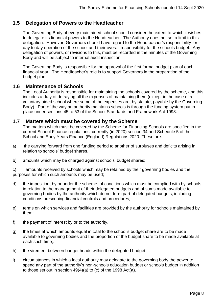# <span id="page-7-0"></span>**1.5 Delegation of Powers to the Headteacher**

The Governing Body of every maintained school should consider the extent to which it wishes to delegate its financial powers to the Headteacher. The Authority does not set a limit to this delegation. However, Governors should have regard to the Headteacher's responsibility for day to day operation of the school and their overall responsibility for the schools budget. Any delegation of powers, or revisions to this, must be recorded in the minutes of the Governing Body and will be subject to internal audit inspection.

The Governing Body is responsible for the approval of the first formal budget plan of each financial year. The Headteacher's role is to support Governors in the preparation of the budget plan.

## <span id="page-7-1"></span>**1.6 Maintenance of Schools**

The Local Authority is responsible for maintaining the schools covered by the scheme, and this includes a duty of defraying all the expenses of maintaining them (except in the case of a voluntary aided school where some of the expenses are, by statute, payable by the Governing Body). Part of the way an authority maintains schools is through the funding system put in place under sections 45 to 53 of the School Standards and Framework Act 1998.

## <span id="page-7-2"></span>**1.7 Matters which must be covered by the Scheme**

The matters which must be covered by the Scheme for Financing Schools are specified in the current School Finance regulations, currently (in 2020) section 34 and Schedule 5 of the School and Early Years Finance (England) Regulations 2020. These are:

- a) the carrying forward from one funding period to another of surpluses and deficits arising in relation to schools' budget shares.
- b) amounts which may be charged against schools' budget shares;

c) amounts received by schools which may be retained by their governing bodies and the purposes for which such amounts may be used;

- d) the imposition, by or under the scheme, of conditions which must be complied with by schools in relation to the management of their delegated budgets and of sums made available to governing bodies by the authority which do not form part of delegated budgets, including conditions prescribing financial controls and procedures;
- e) terms on which services and facilities are provided by the authority for schools maintained by them;
- f) the payment of interest by or to the authority.
- g) the times at which amounts equal in total to the school's budget share are to be made available to governing bodies and the proportion of the budget share to be made available at each such time;.
- h) the virement between budget heads within the delegated budget;
- i) circumstances in which a local authority may delegate to the governing body the power to spend any part of the authority's non-schools education budget or schools budget in addition to those set out in section 49(4)(a) to (c) of the 1998 Act(**a**).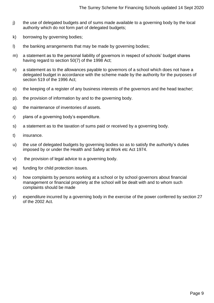- j) the use of delegated budgets and of sums made available to a governing body by the local authority which do not form part of delegated budgets;
- k) borrowing by governing bodies;
- l) the banking arrangements that may be made by governing bodies;
- m) a statement as to the personal liability of governors in respect of schools' budget shares having regard to section 50(7) of the 1998 Act;
- n) a statement as to the allowances payable to governors of a school which does not have a delegated budget in accordance with the scheme made by the authority for the purposes of section 519 of the 1996 Act;
- o) the keeping of a register of any business interests of the governors and the head teacher;
- p). the provision of information by and to the governing body.
- q) the maintenance of inventories of assets.
- r) plans of a governing body's expenditure.
- s) a statement as to the taxation of sums paid or received by a governing body.
- t) insurance.
- u) the use of delegated budgets by governing bodies so as to satisfy the authority's duties imposed by or under the Health and Safety at Work etc Act 1974.
- v) the provision of legal advice to a governing body.
- w) funding for child protection issues.
- x) how complaints by persons working at a school or by school governors about financial management or financial propriety at the school will be dealt with and to whom such complaints should be made
- y) expenditure incurred by a governing body in the exercise of the power conferred by section 27 of the 2002 Act.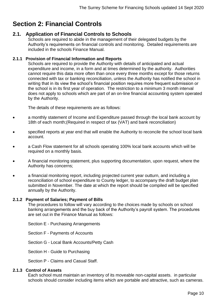# <span id="page-9-0"></span>**Section 2: Financial Controls**

# <span id="page-9-1"></span>**2.1. Application of Financial Controls to Schools**

Schools are required to abide in the management of their delegated budgets by the Authority's requirements on financial controls and monitoring. Detailed requirements are included in the schools Finance Manual.

#### **2.1.1 Provision of Financial Information and Reports**

Schools are required to provide the Authority with details of anticipated and actual expenditure and income, in a form and at times determined by the authority. Authorities cannot require this data more often than once every three months except for those returns connected with tax or banking reconciliation, unless the Authority has notified the school in writing that in its view the school's financial position requires more frequent submission or the school is in its first year of operation. The restriction to a minimum 3 month interval does not apply to schools which are part of an on-line financial accounting system operated by the Authority.

The details of these requirements are as follows:

- a monthly statement of Income and Expenditure passed through the local bank account by 18th of each month;(Required in respect of tax (VAT) and bank reconciliation)
- specified reports at year end that will enable the Authority to reconcile the school local bank account.
- a Cash Flow statement for all schools operating 100% local bank accounts which will be required on a monthly basis.
- A financial monitoring statement, plus supporting documentation, upon request, where the Authority has concerns;
- a financial monitoring report, including projected current year outturn, and including a reconciliation of school expenditure to County ledger, to accompany the draft budget plan submitted in November. The date at which the report should be compiled will be specified annually by the Authority.

#### **2.1.2 Payment of Salaries; Payment of Bills**

The procedures to follow will vary according to the choices made by schools on school banking arrangements and the buy back of the Authority's payroll system. The procedures are set out in the Finance Manual as follows:

Section E - Purchasing Arrangements

Section F - Payments of Accounts

Section G - Local Bank Accounts/Petty Cash

Section H - Guide to Purchasing

Section P - Claims and Casual Staff.

#### **2.1.3 Control of Assets**

Each school must maintain an inventory of its moveable non-capital assets. in particular schools should consider including items which are portable and attractive, such as cameras.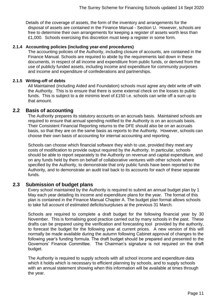Details of the coverage of assets, the form of the inventory and arrangements for the disposal of assets are contained in the Finance Manual - Section U. However, schools are free to determine their own arrangements for keeping a register of assets worth less than £1,000. Schools exercising this discretion must keep a register in some form.

#### **2.1.4 Accounting policies (including year-end procedures)**

The accounting policies of the Authority, including closure of accounts, are contained in the Finance Manual. Schools are required to abide by the requirements laid down in these documents, in respect of all income and expenditure from public funds, or derived from the use of publicly funded assets, including income and expenditure for community purposes and income and expenditure of confederations and partnerships.

#### **2.1.5 Writing-off of debts**

All Maintained (including Aided and Foundation) schools must agree any debt write off with the Authority. This is to ensure that there is some external check on the losses to public funds. This is subject to a de minimis level of £150 i.e. schools can write off a sum up to that amount.

#### <span id="page-10-0"></span>**2.2 Basis of accounting**

The Authority prepares its statutory accounts on an accruals basis. Maintained schools are required to ensure that annual spending notified to the Authority is on an accruals basis. Their Consistent Financial Reporting returns to the DFE should also be on an accruals basis, so that they are on the same basis as reports to the Authority. However, schools can choose their own basis of accounting for internal accounting and reporting.

Schools can choose which financial software they wish to use, provided they meet any costs of modification to provide output required by the Authority. In particular, schools should be able to report separately to the Authority on revenue and capital expenditure, and on any funds held by them on behalf of collaborative ventures with other schools where specified by the Authority, to demonstrate that only public funds have been reported to the Authority, and to demonstrate an audit trail back to its accounts for each of these separate funds.

## <span id="page-10-1"></span>**2.3 Submission of budget plans**

Every school maintained by the Authority is required to submit an annual budget plan by 1 May each year detailing its income and expenditure plans for the year. The format of this plan is contained in the Finance Manual Chapter A. The budget plan format allows schools to take full account of estimated deficits/surpluses at the previous 31 March.

Schools are required to complete a draft budget for the following financial year by 30 November. This is formalising good practice carried out by many schools in the past. These drafts can be prepared using the verification and forecasting tool provided by the authority, to forecast the budget for the following year at current prices. A new version of this will normally be made available during the autumn following Cabinet approval of changes to the following year's funding formula. The draft budget should be prepared and presented to the Governors' Finance Committee. The Chairman's signature is not required on the draft budget.

The Authority is required to supply schools with all school income and expenditure data which it holds which is necessary to efficient planning by schools, and to supply schools with an annual statement showing when this information will be available at times through the year.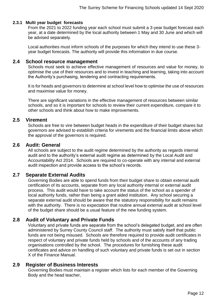#### **2.3.1 Multi year budget forecasts**

From the 2021 to 2022 funding year each school must submit a 3-year budget forecast each year, at a date determined by the local authority between 1 May and 30 June and which will be advised separately.

Local authorities must inform schools of the purposes for which they intend to use these 3 year budget forecasts. The authority will provide this information in due course.

#### <span id="page-11-0"></span>**2.4 School resource management**

Schools must seek to achieve effective management of resources and value for money, to optimise the use of their resources and to invest in teaching and learning, taking into account the Authority's purchasing, tendering and contracting requirements.

It is for heads and governors to determine at school level how to optimise the use of resources and maximise value for money.

There are significant variations in the effective management of resources between similar schools, and so it is important for schools to review their current expenditure, compare it to other schools and think about how to make improvements.

#### <span id="page-11-1"></span>**2.5 Virement**

Schools are free to vire between budget heads in the expenditure of their budget shares but governors are advised to establish criteria for virements and the financial limits above which the approval of the governors is required.

#### <span id="page-11-2"></span>**2.6 Audit: General**

All schools are subject to the audit regime determined by the authority as regards internal audit and to the authority's external audit regime as determined by the Local Audit and Accountability Act 2014. Schools are required to co-operate with any internal and external audit inspection and provide access to the school's records.

## <span id="page-11-3"></span>**2.7 Separate External Audits**

Governing Bodies are able to spend funds from their budget share to obtain external audit certification of its accounts, separate from any local authority internal or external audit process. This audit would have to take account the status of the school as a spender of local authority funds, rather than being a grant aided institution. Any school securing a separate external audit should be aware that the statutory responsibility for audit remains with the authority. There is no expectation that routine annual external audit at school level of the budget share should be a usual feature of the new funding system.

## <span id="page-11-4"></span>**2.8 Audit of Voluntary and Private Funds**

Voluntary and private funds are separate from the school's delegated budget, and are often administered by Surrey County Council staff. The authority must satisfy itself that public funds are not being misused. Schools are therefore required to provide audit certificates in respect of voluntary and private funds held by schools and of the accounts of any trading organisations controlled by the school. The procedures for furnishing these audit certificates and advice on handling of such voluntary and private funds is set out in section X of the Finance Manual.

#### <span id="page-11-5"></span>**2.9 Register of Business Interests**

Governing Bodies must maintain a register which lists for each member of the Governing Body and the head teacher,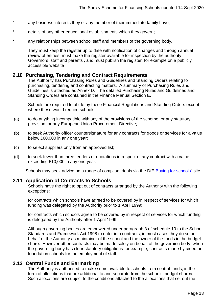- \* any business interests they or any member of their immediate family have;
- \* details of any other educational establishments which they govern;
- any relationships between school staff and members of the governing body.

They must keep the register up to date with notification of changes and through annual review of entries, must make the register available for inspection by the authority, Governors, staff and parents , and must publish the register, for example on a publicly accessible website

#### <span id="page-12-0"></span>**2.10 Purchasing, Tendering and Contract Requirements**

The Authority has Purchasing Rules and Guidelines and Standing Orders relating to purchasing, tendering and contracting matters. A summary of Purchasing Rules and Guidelines is attached as Annex D. The detailed Purchasing Rules and Guidelines and Standing Orders are contained in the Finance Manual Section E.

Schools are required to abide by these Financial Regulations and Standing Orders except where these would require schools:

- (a) to do anything incompatible with any of the provisions of the scheme, or any statutory provision, or any European Union Procurement Directive;
- (b) to seek Authority officer countersignature for any contracts for goods or services for a value below £60,000 in any one year;
- (c) to select suppliers only from an approved list;
- (d) to seek fewer than three tenders or quotations in respect of any contract with a value exceeding £10,000 in any one year.

Schools may seek advice on a range of compliant deals via the DfE [Buying for schools"](https://www.gov.uk/guidance/buying-for-schools) site

#### <span id="page-12-1"></span>**2.11 Application of Contracts to Schools**

Schools have the right to opt out of contracts arranged by the Authority with the following exceptions:

for contracts which schools have agreed to be covered by in respect of services for which funding was delegated by the Authority prior to 1 April 1999;

for contracts which schools agree to be covered by in respect of services for which funding is delegated by the Authority after 1 April 1999;

Although governing bodies are empowered under paragraph 3 of schedule 10 to the School Standards and Framework Act 1998 to enter into contracts, in most cases they do so on behalf of the Authority as maintainer of the school and the owner of the funds in the budget share. However other contracts may be made solely on behalf of the governing body, when the governing body has clear statutory obligations-for example, contracts made by aided or foundation schools for the employment of staff.

## <span id="page-12-2"></span>**2.12 Central Funds and Earmarking**

The Authority is authorised to make sums available to schools from central funds, in the form of allocations that are additional to and separate from the schools' budget shares. Such allocations are subject to the conditions attached to the allocations that set out the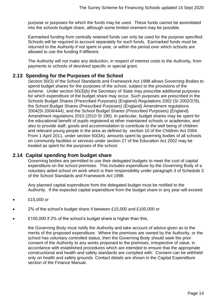purpose or purposes for which the funds may be used. These funds cannot be assimilated into the schools budget share, although some limited virement may be possible.

Earmarked funding from centrally retained funds can only be used for the purpose specified. Schools will be required to account separately for such funds. Earmarked funds must be returned to the Authority if not spent in-year, or within the period over which schools are allowed to use the funding if different.

The Authority will not make any deduction, in respect of interest costs to the Authority, from payments to schools of devolved specific or special grant.

# <span id="page-13-0"></span>**2.13 Spending for the Purposes of the School**

Section 50(3) of the School Standards and Framework Act 1998 allows Governing Bodies to spend budget shares for the purposes of the school, subject to the provisions of the scheme. Under section 50(3)(b) the Secretary of State may prescribe additional purposes for which expenditure of the budget share may occur. Such purposes are prescribed in the Schools Budget Shares (Prescribed Purposes) (England) Regulations 2002 (SI 2002/378), the School Budget Shares (Prescribed Purposes) (England) Amendment regulations 2004(SI 2004/444), and the School Budget Shares (Prescribed Purposes) (England) Amendment regulations 2010 (2010 SI 190). In particular, budget shares may be spent for the educational benefit of pupils registered at other maintained schools or academies, and also to provide staff, goods and accommodation to contribute to the well being of children and relevant young people in the area as defined by section 10 of the Children Act 2004. From 1 April 2011, under section 50(3A), amounts spent by governing bodies of all schools on community facilities or services under section 27 of the Education Act 2002 may be treated as spent for the purposes of the school.

## <span id="page-13-1"></span>**2.14 Capital spending from budget share**

Governing bodies are permitted to use their delegated budgets to meet the cost of capital expenditure on the school premises. This includes expenditure by the Governing Body of a voluntary aided school on work which is their responsibility under paragraph 3 of Schedule 3 of the School Standards and Framework Act 1998.

Any planned capital expenditure from the delegated budget must be notified to the Authority. If the expected capital expenditure from the budget share in any year will exceed:

- £15,000 or
- 2% of the school's budget share if between £15,000 and £100,000 or
- £100,000 if 2% of the school's budget share is higher than this,

the Governing Body must notify the Authority and take account of advice given as to the merits of the proposed expenditure. Where the premises are owned by the Authority, or the school has voluntary controlled status, then the Governing Body should seek the prior consent of the Authority to any works proposed to the premises, irrespective of value, in accordance with established procedures which are intended to ensure that the appropriate constructional and health and safety standards are complied with. Consent can be withheld only on health and safety grounds. Contact details are shown in the Capital Expenditure section of the Finance Manual.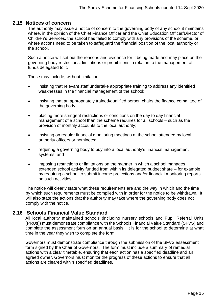#### <span id="page-14-0"></span>**2.15 Notices of concern**

The authority may issue a notice of concern to the governing body of any school it maintains where, in the opinion of the Chief Finance Officer and the Chief Education Officer/Director of Children's Services, the school has failed to comply with any provisions of the scheme, or where actions need to be taken to safeguard the financial position of the local authority or the school.

Such a notice will set out the reasons and evidence for it being made and may place on the governing body restrictions, limitations or prohibitions in relation to the management of funds delegated to it.

These may include, without limitation:

- insisting that relevant staff undertake appropriate training to address any identified weaknesses in the financial management of the school;
- insisting that an appropriately trained/qualified person chairs the finance committee of the governing body;
- placing more stringent restrictions or conditions on the day to day financial management of a school than the scheme requires for all schools – such as the provision of monthly accounts to the local authority;
- insisting on regular financial monitoring meetings at the school attended by local authority officers or nominees;
- requiring a governing body to buy into a local authority's financial management systems; and
- imposing restrictions or limitations on the manner in which a school manages extended school activity funded from within its delegated budget share – for example by requiring a school to submit income projections and/or financial monitoring reports on such activities.

The notice will clearly state what these requirements are and the way in which and the time by which such requirements must be complied with in order for the notice to be withdrawn. It will also state the actions that the authority may take where the governing body does not comply with the notice.

## <span id="page-14-1"></span>**2.16 Schools Financial Value Standard**

All local authority maintained schools (including nursery schools and Pupil Referral Units (PRUs)) must demonstrate compliance with the Schools Financial Value Standard (SFVS) and complete the assessment form on an annual basis. It is for the school to determine at what time in the year they wish to complete the form.

Governors must demonstrate compliance through the submission of the SFVS assessment form signed by the Chair of Governors. The form must include a summary of remedial actions with a clear timetable, ensuring that each action has a specified deadline and an agreed owner. Governors must monitor the progress of these actions to ensure that all actions are cleared within specified deadlines.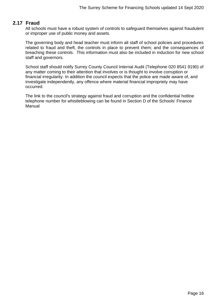# <span id="page-15-0"></span>**2.17 Fraud**

All schools must have a robust system of controls to safeguard themselves against fraudulent or improper use of public money and assets.

The governing body and head teacher must inform all staff of school policies and procedures related to fraud and theft, the controls in place to prevent them; and the consequences of breaching these controls. This information must also be included in induction for new school staff and governors.

School staff should notify Surrey County Council Internal Audit (Telephone 020 8541 9190) of any matter coming to their attention that involves or is thought to involve corruption or financial irregularity. In addition the council expects that the police are made aware of, and investigate independently, any offence where material financial impropriety may have occurred.

The link to the council's strategy against fraud and corruption and the confidential hotline telephone number for whistleblowing can be found in Section D of the Schools' Finance Manual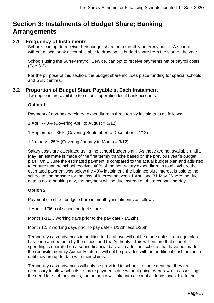# <span id="page-16-0"></span>**Section 3: Instalments of Budget Share; Banking Arrangements**

# <span id="page-16-1"></span>**3.1 Frequency of Instalments**

Schools can opt to receive their budget share on a monthly or termly basis. A school without a local bank account is able to draw on its budget share from the start of the year.

Schools using the Surrey Payroll Service, can opt to receive payments net of payroll costs (See 3.2)

For the purpose of this section, the budget share includes place funding for special schools and SEN centres.

# <span id="page-16-2"></span>**3.2 Proportion of Budget Share Payable at Each Instalment**

Two options are available to schools operating local bank accounts:

#### **Option 1**

Payment of non-salary related expenditure in three termly instalments as follows:

1 April - 40% (Covering April to August = 5/12)

1 September - 35% (Covering September to December = 4/12)

1 January - 25% (Covering January to March =  $3/12$ )

Salary costs are calculated using the school budget plan. As these are not available until 1 May, an estimate is made of the first termly tranche based on the previous year's budget plan. On 1 June the estimated payment is compared to the actual budget plan and adjusted to ensure that the school receives 40% of the non-salary expenditure in total. Where the estimated payment was below the 40% instalment, the balance plus interest is paid to the school to compensate for the loss of interest between 1 April and 31 May. Where the due date is not a banking day, the payment will be due instead on the next banking day.

#### **Option 2**

Payment of school budget share in monthly instalments as follows:

1 April - 1/36th of school budget share

Month 1-11, 3 working days prior to the pay date - 1/12ths

Month 12, 3 working days prior to pay date - 1/12th less 1/36th

Temporary cash advances in addition to the above will not be made unless a budget plan has been agreed both by the school and the Authority. This will ensure that school spending is operated on a sound financial basis. In addition, schools that have not made the requisite monthly Authority returns will not be provided with an additional cash advance until they are up to date with their claims.

Temporary cash advances will only be provided to schools to the extent that they are necessary to allow schools to make payments due without going overdrawn. In assessing the need for such advances, the authority will take into account all funds available to the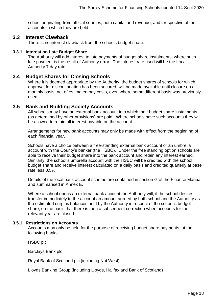school originating from official sources, both capital and revenue, and irrespective of the accounts in which they are held.

#### <span id="page-17-0"></span>**3.3 Interest Clawback**

There is no interest clawback from the schools budget share.

#### **3.3.1 Interest on Late Budget Share**

The Authority will add interest to late payments of budget share instalments, where such late payment is the result of Authority error. The interest rate used will be the Local Authority 7 day rate.

#### <span id="page-17-1"></span>**3.4 Budget Shares for Closing Schools**

Where it is deemed appropriate by the Authority, the budget shares of schools for which approval for discontinuation has been secured, will be made available until closure on a monthly basis, net of estimated pay costs, even where some different basis was previously used.

#### <span id="page-17-2"></span>**3.5 Bank and Building Society Accounts**

All schools may have an external bank account into which their budget share instalments (as determined by other provisions) are paid. Where schools have such accounts they will be allowed to retain all interest payable on the account.

Arrangements for new bank accounts may only be made with effect from the beginning of each financial year.

Schools have a choice between a free-standing external bank account or an umbrella account with the County's banker (the HSBC). Under the free standing option schools are able to receive their budget share into the bank account and retain any interest earned. Similarly, the school's umbrella account with the HSBC will be credited with the school budget share and receive interest calculated on a daily basis and credited quarterly at base rate less 0.5%.

Details of the local bank account scheme are contained in section G of the Finance Manual and summarised in Annex E.

Where a school opens an external bank account the Authority will, if the school desires, transfer immediately to the account an amount agreed by both school and the Authority as the estimated surplus balances held by the Authority in respect of the school's budget share, on the basis that there is then a subsequent correction when accounts for the relevant year are closed

#### **3.5.1 Restrictions on Accounts**

Accounts may only be held for the purpose of receiving budget share payments, at the following banks:

HSBC plc

Barclays Bank plc

Royal Bank of Scotland plc (including Nat West)

Lloyds Banking Group (including Lloyds, Halifax and Bank of Scotland)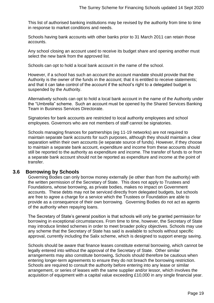This list of authorised banking institutions may be revised by the authority from time to time in response to market conditions and needs.

Schools having bank accounts with other banks prior to 31 March 2011 can retain those accounts.

Any school closing an account used to receive its budget share and opening another must select the new bank from the approved list.

Schools can opt to hold a local bank account in the name of the school.

However, if a school has such an account the account mandate should provide that the Authority is the owner of the funds in the account; that it is entitled to receive statements; and that it can take control of the account if the school's right to a delegated budget is suspended by the Authority.

Alternatively schools can opt to hold a local bank account in the name of the Authority under the "Umbrella" scheme. Such an account must be opened by the Shared Services Banking Team in Business Services Directorate.

Signatories for bank accounts are restricted to local authority employees and school employees. Governors who are not members of staff cannot be signatories.

Schools managing finances for partnerships (eg 11-19 networks) are not required to maintain separate bank accounts for such purposes, although they should maintain a clear separation within their own accounts (ie separate source of funds). However, if they choose to maintain a separate bank account, expenditure and income from these accounts should still be reported to the authority as expenditure and income. The transfer of funds to or from a separate bank account should not be reported as expenditure and income at the point of transfer.

## <span id="page-18-0"></span>**3.6 Borrowing by Schools**

Governing Bodies can only borrow money externally (ie other than from the authority) with the written permission of the Secretary of State. This does not apply to Trustees and Foundations, whose borrowing, as private bodies, makes no impact on Government accounts. These debts may not be serviced directly from delegated budgets, but schools are free to agree a charge for a service which the Trustees or Foundation are able to provide as a consequence of their own borrowing. Governing Bodies do not act as agents of the authority when repaying loans.

The Secretary of State's general position is that schools will only be granted permission for borrowing in exceptional circumstances. From time to time, however, the Secretary of State may introduce limited schemes in order to meet broader policy objectives. Schools may use any scheme that the Secretary of State has said is available to schools without specific approval, currently including the Salix scheme, which is designed to support energy saving.

Schools should be aware that finance leases constitute external borrowing, which cannot be legally entered into without the approval of the Secretary of State. Other similar arrangements may also constitute borrowing**.** Schools should therefore be cautious when entering longer-term agreements to ensure they do not breach the borrowing restriction. Schools are required to consult the authority before entering into any lease or similar arrangement, or series of leases with the same supplier and/or lessor, which involves the acquisition of equipment with a capital value exceeding £10,000 in any single financial year.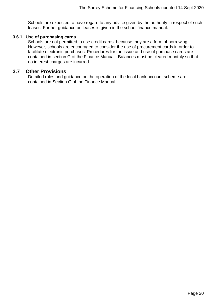Schools are expected to have regard to any advice given by the authority in respect of such leases. Further guidance on leases is given in the school finance manual.

#### **3.6.1 Use of purchasing cards**

Schools are not permitted to use credit cards, because they are a form of borrowing. However, schools are encouraged to consider the use of procurement cards in order to facilitate electronic purchases. Procedures for the issue and use of purchase cards are contained in section G of the Finance Manual. Balances must be cleared monthly so that no interest charges are incurred.

#### <span id="page-19-0"></span>**3.7 Other Provisions**

Detailed rules and guidance on the operation of the local bank account scheme are contained in Section G of the Finance Manual.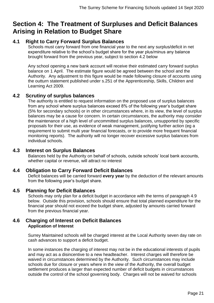# <span id="page-20-0"></span>**Section 4: The Treatment of Surpluses and Deficit Balances Arising in Relation to Budget Share**

# <span id="page-20-1"></span>**4.1 Right to Carry Forward Surplus Balances**

Schools must carry forward from one financial year to the next any surplus/deficit in net expenditure relative to the school's budget share for the year plus/minus any balance brought forward from the previous year, subject to section 4.2 below

Any school opening a new bank account will receive their estimated carry forward surplus balance on 1 April. The estimate figure would be agreed between the school and the Authority. Any adjustment to this figure would be made following closure of accounts using the outturn statement published under s.251 of the Apprenticeship, Skills, Children and Learning Act 2009.

## <span id="page-20-2"></span>**4.2 Scrutiny of surplus balances**

The authority is entitled to request information on the proposed use of surplus balances from any school where surplus balances exceed 8% of the following year's budget share (5% for secondary schools) or in other circumstances where, in its view, the level of surplus balances may be a cause for concern. In certain circumstances, the authority may consider the maintenance of a high level of uncommitted surplus balances, unsupported by specific proposals for their use, as evidence of weak management, justifying further action (eg a requirement to submit multi year financial forecasts, or to provide more frequent financial monitoring reports). The authority will no longer recover excessive surplus balances from individual schools.

#### <span id="page-20-3"></span>**4.3 Interest on Surplus Balances**

Balances held by the Authority on behalf of schools, outside schools' local bank accounts, whether capital or revenue, will attract no interest

## <span id="page-20-4"></span>**4.4 Obligation to Carry Forward Deficit Balances**

Deficit balances will be carried forward **every year** by the deduction of the relevant amounts from the following year's budget share.

## <span id="page-20-5"></span>**4.5 Planning for Deficit Balances**

Schools may only plan for a deficit budget in accordance with the terms of paragraph 4.9 below. Outside this provision, schools should ensure that total planned expenditure for the financial year should not exceed the budget share, adjusted by amounts carried forward from the previous financial year.

#### <span id="page-20-6"></span>**4.6 Charging of Interest on Deficit Balances Application of Interest**

Surrey Maintained schools will be charged interest at the Local Authority seven day rate on cash advances to support a deficit budget.

In some instances the charging of interest may not be in the educational interests of pupils and may act as a disincentive to a new headteacher. Interest charges will therefore be waived in circumstances determined by the Authority. Such circumstances may include schools due for closure or years where in the view of the Authority, the overall budget settlement produces a larger than expected number of deficit budgets in circumstances outside the control of the school governing body. Charges will not be waived for schools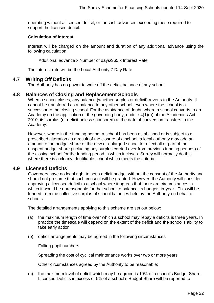operating without a licensed deficit, or for cash advances exceeding these required to support the licensed deficit.

#### **Calculation of Interest**

Interest will be charged on the amount and duration of any additional advance using the following calculation:

Additional advance x Number of days/365 x Interest Rate

The interest rate will be the Local Authority 7 Day Rate

#### <span id="page-21-0"></span>**4.7 Writing Off Deficits**

The Authority has no power to write off the deficit balance of any school.

#### <span id="page-21-1"></span>**4.8 Balances of Closing and Replacement Schools**

When a school closes, any balance (whether surplus or deficit) reverts to the Authority. It cannot be transferred as a balance to any other school, even where the school is a successor to the closing school. For the avoidance of doubt, where a school converts to an Academy on the application of the governing body, under s4(1)(a) of the Academies Act 2010, its surplus (or deficit unless sponsored) at the date of conversion transfers to the Academy.

However, where in the funding period, a school has been established or is subject to a prescribed alteration as a result of the closure of a school, a local authority may add an amount to the budget share of the new or enlarged school to reflect all or part of the unspent budget share (including any surplus carried over from previous funding periods) of the closing school for the funding period in which it closes. Surrey will normally do this where there is a clearly identifiable school which meets the criteria..

#### <span id="page-21-2"></span>**4.9 Licensed Deficits**

Governors have no legal right to set a deficit budget without the consent of the Authority and should not presume that such consent will be granted. However, the Authority will consider approving a licensed deficit to a school where it agrees that there are circumstances in which it would be unreasonable for that school to balance its budgets in-year. This will be funded from the collective surplus of school balances held by the Authority on behalf of schools.

The detailed arrangements applying to this scheme are set out below:

- (a) the maximum length of time over which a school may repay a deficits is three years, In practice the timescale will depend on the extent of the deficit and the school's ability to take early action.
- (b) deficit arrangements may be agreed in the following circumstances

Falling pupil numbers

Spreading the cost of cyclical maintenance works over two or more years

Other circumstances agreed by the Authority to be reasonable;

(c) the maximum level of deficit which may be agreed is 10% of a school's Budget Share. Licensed Deficits in excess of 5% of a school's Budget Share will be reported to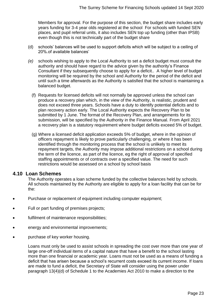Members for approval. For the purpose of this section, the budget share includes early years funding for 3-4 year olds registered at the school For schools with funded SEN places, and pupil referral units, it also includes SEN top up funding (other than IPSB) even though this is not technically part of the budget share

- (d) schools' balances will be used to support deficits which will be subject to a ceiling of 20%.of available balances'
- *(e)* schools wishing to apply to the Local Authority to set a deficit budget must consult the authority and should have regard to the advice given by the authority's Finance Consultant if they subsequently choose to apply for a deficit.. A higher level of budget monitoring will be required by the school and Authority for the period of the deficit and until such a time afterwards as the Authority is satisfied that the school is maintaining a balanced budget.
	- (f) Requests for licensed deficits will not normally be approved unless the school can produce a recovery plan which, in the view of the Authority, is realistic, prudent and does not exceed three years. Schools have a duty to identify potential deficits and to plan recovery action early. The Local Authority expects the Recovery Plan to be submitted by 1 June. The format of the Recovery Plan, and arrangements for its submission, will be specified by the Authority in the Finance Manual. From April 2021 a recovery plan is a statutory requirement where budget deficits exceed 5% of budget.
	- (g) Where a licensed deficit application exceeds 5% of budget, where in the opinion of officers repayment is likely to prove particularly challenging, or where it has been identified through the monitoring process that the school is unlikely to meet its repayment targets, the Authority may impose additional restrictions on a school during the term of the licence, as part of the licence, eg the right of approval of specified staffing appointments or of contracts over a specified value. The need for such restrictions would be assessed on a school by school basis

#### <span id="page-22-0"></span>**4.10 Loan Schemes**

The Authority operates a loan scheme funded by the collective balances held by schools. All schools maintained by the Authority are eligible to apply for a loan facility that can be for the:

- Purchase or replacement of equipment including computer equipment;
- Full or part funding of premises projects;
- fulfilment of maintenance responsibilities;
- energy and environmental improvements:
- purchase of key worker housing.

Loans must only be used to assist schools in spreading the cost over more than one year of large one-off individual items of a capital nature that have a benefit to the school lasting more than one financial or academic year. Loans must not be used as a means of funding a deficit that has arisen because a school's recurrent costs exceed its current income. If loans are made to fund a deficit, the Secretary of State will consider using the power under paragraph 13(4)(d) of Schedule 1 to the Academies Act 2010 to make a direction to the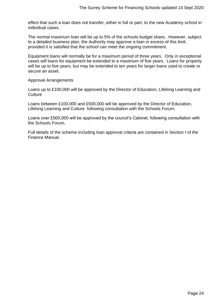effect that such a loan does not transfer, either in full or part, to the new Academy school in individual cases.

The normal maximum loan will be up to 5% of the schools budget share**.** However, subject to a detailed business plan, the Authority may approve a loan in excess of this limit, provided it is satisfied that the school can meet the ongoing commitment.

Equipment loans will normally be for a maximum period of three years. Only in exceptional cases will loans for equipment be extended to a maximum of five years. Loans for property will be up to five years, but may be extended to ten years for larger loans used to create or secure an asset.

Approval Arrangements

Loans up to £100,000 will be approved by the Director of Education, Lifelong Learning and **Culture** 

Loans between £100,000 and £500,000 will be approved by the Director of Education, Lifelong Learning and Culture following consultation with the Schools Forum;

Loans over £500,000 will be approved by the council's Cabinet, following consultation with the Schools Forum.

Full details of the scheme including loan approval criteria are contained in Section I of the Finance Manual.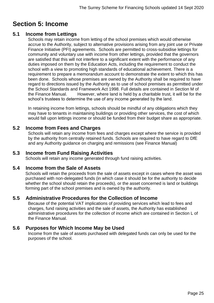# <span id="page-24-0"></span>**Section 5: Income**

# <span id="page-24-1"></span>**5.1 Income from Lettings**

Schools may retain income from letting of the school premises which would otherwise accrue to the Authority, subject to alternative provisions arising from any joint use or Private Finance Initiative (PFI) agreements. Schools are permitted to cross-subsidise lettings for community and voluntary use with income from other lettings, provided that the governors are satisfied that this will not interfere to a significant extent with the performance of any duties imposed on them by the Education Acts, including the requirement to conduct the school with a view to promoting high standards of educational achievement. There is a requirement to prepare a memorandum account to demonstrate the extent to which this has been done. Schools whose premises are owned by the Authority shall be required to have regard to directions issued by the Authority as to use of school premises as permitted under the School Standards and Framework Act 1998. Full details are contained in Section M of the Finance Manual. However, where land is held by a charitable trust, it will be for the school's trustees to determine the use of any income generated by the land.

In retaining income from lettings, schools should be mindful of any obligations which they may have to tenants in maintaining buildings or providing other services, the cost of which would fall upon lettings income or should be funded from their budget share as appropriate.

# <span id="page-24-2"></span>**5.2 Income from Fees and Charges**

Schools will retain any income from fees and charges except where the service is provided by the authority from centrally retained funds. Schools are required to have regard to DfE and any Authority guidance on charging and remissions (see Finance Manual)

# <span id="page-24-3"></span>**5.3 Income from Fund Raising Activities**

Schools will retain any income generated through fund raising activities.

# <span id="page-24-4"></span>**5.4 Income from the Sale of Assets**

Schools will retain the proceeds from the sale of assets except in cases where the asset was purchased with non-delegated funds (in which case it should be for the authority to decide whether the school should retain the proceeds), or the asset concerned is land or buildings forming part of the school premises and is owned by the authority.

# <span id="page-24-5"></span>**5.5 Administrative Procedures for the Collection of Income**

Because of the potential VAT implications of providing services which lead to fees and charges, fund raising activities and the sale of assets, the Authority has established administrative procedures for the collection of income which are contained in Section L of the Finance Manual.

# <span id="page-24-6"></span>**5.6 Purposes for Which Income May be Used**

Income from the sale of assets purchased with delegated funds can only be used for the purposes of the school.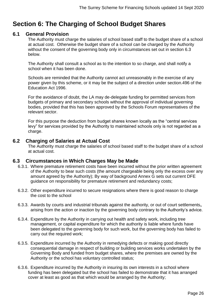# <span id="page-25-0"></span>**Section 6: The Charging of School Budget Shares**

#### <span id="page-25-1"></span>**6.1 General Provision**

The Authority must charge the salaries of school based staff to the budget share of a school at actual cost. Otherwise the budget share of a school can be charged by the Authority without the consent of the governing body only in circumstances set out in section 6.3 below.

The Authority shall consult a school as to the intention to so charge, and shall notify a school when it has been done.

Schools are reminded that the Authority cannot act unreasonably in the exercise of any power given by this scheme, or it may be the subject of a direction under section.496 of the Education Act 1996.

For the avoidance of doubt, the LA may de-delegate funding for permitted services from budgets of primary and secondary schools without the approval of individual governing bodies, provided that this has been approved by the Schools Forum representatives of the relevant sector.

For this purpose the deduction from budget shares known locally as the "central services levy" for services provided by the Authority to maintained schools only is not regarded as a charge.

#### <span id="page-25-2"></span>**6.2 Charging of Salaries at Actual Cost**

The Authority must charge the salaries of school based staff to the budget share of a school at actual cost.

## <span id="page-25-3"></span>**6.3 Circumstances in Which Charges May be Made**

- 6.3.1. Where premature retirement costs have been incurred without the prior written agreement of the Authority to bear such costs (the amount chargeable being only the excess over any amount agreed by the Authority); By way of background Annex G sets out current DFE guidance on responsibility for premature retirement and redundancy costs;
- 6.3.2. Other expenditure incurred to secure resignations where there is good reason to charge the cost to the school
- 6.3.3. Awards by courts and industrial tribunals against the authority, or out of court settlements**,** arising from the action or inaction by the governing body contrary to the Authority's advice.
- 6.3.4. Expenditure by the Authority in carrying out health and safety work, including tree management, or capital expenditure for which the authority is liable where funds have been delegated to the governing body for such work, but the governing body has failed to carry out the required work;
- 6.3.5. Expenditure incurred by the Authority in remedying defects or making good directly consequential damage in respect of building or building services works undertaken by the Governing Body and funded from budget shares, where the premises are owned by the Authority or the school has voluntary controlled status;
- 6.3.6. Expenditure incurred by the Authority in insuring its own interests in a school where funding has been delegated but the school has failed to demonstrate that it has arranged cover at least as good as that which would be arranged by the Authority;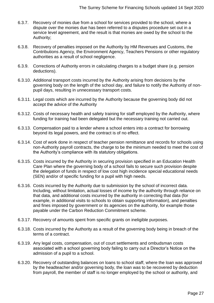- 6.3.7. Recovery of monies due from a school for services provided to the school, where a dispute over the monies due has been referred to a disputes procedure set out in a service level agreement, and the result is that monies are owed by the school to the Authority;
- 6.3.8. Recovery of penalties imposed on the Authority by HM Revenues and Customs, the Contributions Agency, the Environment Agency, Teachers Pensions or other regulatory authorities as a result of school negligence.
- 6.3.9. Corrections of Authority errors in calculating charges to a budget share (e.g. pension deductions).
- 6.3.10. Additional transport costs incurred by the Authority arising from decisions by the governing body on the length of the school day, and failure to notify the Authority of nonpupil days, resulting in unnecessary transport costs.
- 6.3.11. Legal costs which are incurred by the Authority because the governing body did not accept the advice of the Authority
- 6.3.12. Costs of necessary health and safety training for staff employed by the Authority, where funding for training had been delegated but the necessary training not carried out.
- 6.3.13. Compensation paid to a lender where a school enters into a contract for borrowing beyond its legal powers, and the contract is of no effect.
- 6.3.14. Cost of work done in respect of teacher pension remittance and records for schools using non-Authority payroll contracts, the charge to be the minimum needed to meet the cost of the Authority's compliance with its statutory obligations.
- 6.3.15. Costs incurred by the Authority in securing provision specified in an Education Health Care Plan where the governing body of a school fails to secure such provision despite the delegation of funds in respect of low cost high incidence special educational needs (SEN) and/or of specific funding for a pupil with high needs.
- 6.3.16. Costs incurred by the Authority due to submission by the school of incorrect data. Including, without limitation, actual losses of income by the authority through reliance on that data, and additional costs incurred by the authority in correcting that data (for example, in additional visits to schools to obtain supporting information), and penalties and fines imposed by government or its agencies on the authority, for example those payable under the Carbon Reduction Commitment scheme.
- 6.3.17. Recovery of amounts spent from specific grants on ineligible purposes.
- 6.3.18. Costs incurred by the Authority as a result of the governing body being in breach of the terms of a contract.
- 6.3.19. Any legal costs, compensation, out of court settlements and ombudsman costs associated with a school governing body failing to carry out a Director's Notice on the admission of a pupil to a school.
- 6.3.20. Recovery of outstanding balances on loans to school staff, where the loan was approved by the headteacher and/or governing body, the loan was to be recovered by deduction from payroll, the member of staff is no longer employed by the school or authority, and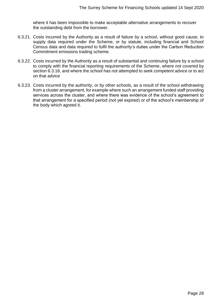where it has been impossible to make acceptable alternative arrangements to recover the outstanding debt from the borrower.

- 6.3.21. Costs incurred by the Authority as a result of failure by a school, without good cause, to supply data required under the Scheme, or by statute, including financial and School Census data and data required to fulfil the authority's duties under the Carbon Reduction Commitment emissions trading scheme.
- 6.3.22. Costs incurred by the Authority as a result of substantial and continuing failure by a school to comply with the financial reporting requirements of the Scheme, where not covered by section 6.3.16, and where the school has not attempted to seek competent advice or to act on that advice
- 6.3.23. Costs incurred by the authority, or by other schools, as a result of the school withdrawing from a cluster arrangement, for example where such an arrangement funded staff providing services across the cluster, and where there was evidence of the school's agreement to that arrangement for a specified period (not yet expired) or of the school's membership of the body which agreed it.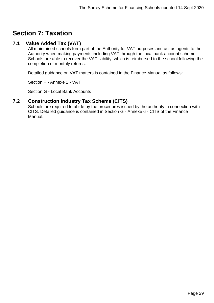# <span id="page-28-0"></span>**Section 7: Taxation**

# <span id="page-28-1"></span>**7.1 Value Added Tax (VAT)**

All maintained schools form part of the Authority for VAT purposes and act as agents to the Authority when making payments including VAT through the local bank account scheme. Schools are able to recover the VAT liability, which is reimbursed to the school following the completion of monthly returns.

Detailed guidance on VAT matters is contained in the Finance Manual as follows:

Section F - Annexe 1 - VAT

Section G - Local Bank Accounts

# <span id="page-28-2"></span>**7.2 Construction Industry Tax Scheme (CITS)**

Schools are required to abide by the procedures issued by the authority in connection with CITS. Detailed guidance is contained in Section G - Annexe 6 - CITS of the Finance Manual.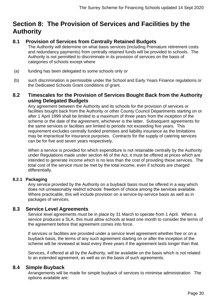# <span id="page-29-0"></span>**Section 8: The Provision of Services and Facilities by the Authority**

# <span id="page-29-1"></span>**8.1 Provision of Services from Centrally Retained Budgets**

The Authority will determine on what basis services (including Premature retirement costs and redundancy payments) from centrally retained funds will be provided to schools. The Authority is not permitted to discriminate in its provision of services on the basis of categories of schools except where

- (a) funding has been delegated to some schools only or
- (b) such discrimination is permissible under the School and Early Years Finance regulations or the Dedicated Schools Grant conditions of grant.

# <span id="page-29-2"></span>**8.2 Timescales for the Provision of Services Bought Back from the Authority using Delegated Budgets**

Any agreement between the Authority and its schools for the provision of services or facilities bought back from the Authority or other County Council Departments starting on or after 1 April 1999 shall be limited to a maximum of three years from the inception of the scheme or the date of the agreement, whichever is the latter. Subsequent agreements for the same services or facilities are limited to periods not exceeding five years. This requirement excludes centrally funded premises and liability insurance as the limitations may be impractical for insurance purposes. Contracts for the supply of catering services can be for five and seven years respectively.

When a service is provided for which expenditure is not retainable centrally by the Authority under Regulations made under section 46 of the Act, it must be offered at prices which are intended to generate income which is no less than the cost of providing these services. The total cost of the service must be met by the total income, even if schools are charged differentially.

#### **8.2.1 Packaging**

Any service provided by the Authority on a buyback basis must be offered in a way which does not unreasonably restrict schools' freedom of choice among the services available. Where practicable, this will include provision on a service-by-service basis as well as in packages of services.

## <span id="page-29-3"></span>**8.3 Service Level Agreements**

Service level agreements must be in place by 31 March to operate from 1 April. When a service produces a SLA, this must allow schools at least one month to consider the terms of the agreement before that agreement comes into force.

If services or facilities are provided under a service level agreement whether free or on a buyback basis, the terms of any such agreement starting on or after the inception of the scheme will be reviewed at least every three years if the agreement lasts longer than that.

Services, if offered at all by the Authority, will be available on the basis which is not related to an extended agreement, as well as on the basis of such agreements.

## <span id="page-29-4"></span>**8.4 Simple Buyback**

Arrangements will be made for simple buyback of services to minimise administration. The options available are: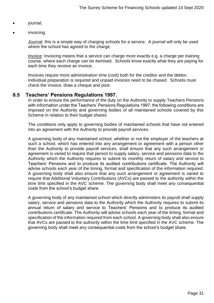- journal;
- invoicing.

Journal: this is a simple way of charging schools for a service. A journal will only be used where the school has agreed to the charge.

Invoice: Invoicing means that a service can charge more exactly e.g. a charge per training course, where each charge can be itemised. Schools know exactly what they are paying for each time they receive an invoice.

Invoices require more administration time (cost) both for the creditor and the debtor. Individual preparation is required and unpaid invoices need to be chased. Schools must check the invoice, draw a cheque and post.

#### <span id="page-30-0"></span>**8.5 Teachers' Pensions Regulations 1997.**

In order to ensure the performance of the duty on the Authority to supply Teachers Pensions with information under the Teachers' Pensions Regulations 1997, the following conditions are imposed on the Authority and governing bodies of all maintained schools covered by this Scheme in relation to their budget shares

The conditions only apply to governing bodies of maintained schools that have not entered into an agreement with the Authority to provide payroll services.

A governing body of any maintained school, whether or not the employer of the teachers at such a school, which has entered into any arrangement or agreement with a person other than the Authority to provide payroll services, shall ensure that any such arrangement or agreement is varied to require that person to supply salary, service and pensions data to the Authority which the Authority requires to submit its monthly return of salary and service to Teachers' Pensions and to produce its audited contributions certificate. The Authority will advise schools each year of the timing, format and specification of the information required. A governing body shall also ensure that any such arrangement or agreement is varied to require that Additional Voluntary Contributions (AVCs) are passed to the authority within the time limit specified in the AVC scheme. The governing body shall meet any consequential costs from the school's budget share.

A governing body of any maintained school which directly administers its payroll shall supply salary, service and pensions data to the Authority which the Authority requires to submit its annual return of salary and service to Teachers' Pensions and to produce its audited contributions certificate. The Authority will advise schools each year of the timing, format and specification of the information required from each school. A governing body shall also ensure that AVCs are passed to the authority within the time limit specified in the AVC scheme. The governing body shall meet any consequential costs from the school's budget share.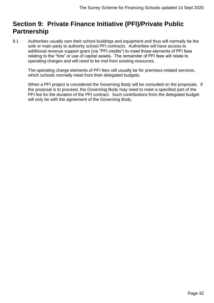# <span id="page-31-0"></span>**Section 9: Private Finance Initiative (PFI)/Private Public Partnership**

9.1 Authorities usually own their school buildings and equipment and thus will normally be the sole or main party to authority school PFI contracts. Authorities will have access to additional revenue support grant (via "PFI credits") to meet those elements of PFI fees relating to the "hire" or use of capital assets. The remainder of PFI fees will relate to operating charges and will need to be met from existing resources.

The operating charge elements of PFI fees will usually be for premises-related services, which schools normally meet from their delegated budgets.

When a PFI project is considered the Governing Body will be consulted on the proposals. If the proposal is to proceed, the Governing Body may need to meet a specified part of the PFI fee for the duration of the PFI contract. Such contributions from the delegated budget will only be with the agreement of the Governing Body.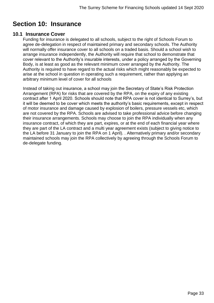# <span id="page-32-0"></span>**Section 10: Insurance**

## <span id="page-32-1"></span>**10.1 Insurance Cover**

Funding for insurance is delegated to all schools, subject to the right of Schools Forum to agree de-delegation in respect of maintained primary and secondary schools. The Authority will normally offer insurance cover to all schools on a traded basis. Should a school wish to arrange insurance independently, the Authority will require that school to demonstrate that cover relevant to the Authority's insurable interests, under a policy arranged by the Governing Body, is at least as good as the relevant minimum cover arranged by the Authority. The Authority is required to have regard to the actual risks which might reasonably be expected to arise at the school in question in operating such a requirement, rather than applying an arbitrary minimum level of cover for all schools

Instead of taking out insurance, a school may join the Secretary of State's Risk Protection Arrangement (RPA) for risks that are covered by the RPA, on the expiry of any existing contract after 1 April 2020. Schools should note that RPA cover is not identical to Surrey's, but it will be deemed to be cover which meets the authority's basic requirements, except in respect of motor insurance and damage caused by explosion of boilers, pressure vessels etc, which are not covered by the RPA. Schools are advised to take professional advice before changing their insurance arrangements. Schools may choose to join the RPA individually when any insurance contract, of which they are part, expires, or at the end of each financial year where they are part of the LA contract and a multi year agreement exists (subject to giving notice to the LA before 31 January to join the RPA on 1 April). . Alternatively primary and/or secondary maintained schools may join the RPA collectively by agreeing through the Schools Forum to de-delegate funding.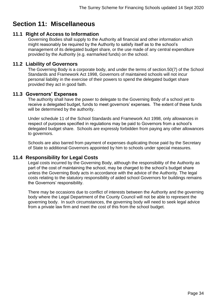# <span id="page-33-0"></span>**Section 11: Miscellaneous**

# <span id="page-33-1"></span>**11.1 Right of Access to Information**

Governing Bodies shall supply to the Authority all financial and other information which might reasonably be required by the Authority to satisfy itself as to the school's management of its delegated budget share, or the use made of any central expenditure provided by the Authority (e.g. earmarked funds) on the school.

#### <span id="page-33-2"></span>**11.2 Liability of Governors**

The Governing Body is a corporate body, and under the terms of section.50(7) of the School Standards and Framework Act 1998, Governors of maintained schools will not incur personal liability in the exercise of their powers to spend the delegated budget share provided they act in good faith.

#### <span id="page-33-3"></span>**11.3 Governors' Expenses**

The authority shall have the power to delegate to the Governing Body of a school yet to receive a delegated budget, funds to meet governors' expenses. The extent of these funds will be determined by the authority.

Under schedule 11 of the School Standards and Framework Act 1998, only allowances in respect of purposes specified in regulations may be paid to Governors from a school's delegated budget share. Schools are expressly forbidden from paying any other allowances to governors.

Schools are also barred from payment of expenses duplicating those paid by the Secretary of State to additional Governors appointed by him to schools under special measures.

## <span id="page-33-4"></span>**11.4 Responsibility for Legal Costs**

Legal costs incurred by the Governing Body, although the responsibility of the Authority as part of the cost of maintaining the school, may be charged to the school's budget share unless the Governing Body acts in accordance with the advice of the Authority. The legal costs relating to the statutory responsibility of aided school Governors for buildings remains the Governors' responsibility.

There may be occasions due to conflict of interests between the Authority and the governing body where the Legal Department of the County Council will not be able to represent the governing body. In such circumstances, the governing body will need to seek legal advice from a private law firm and meet the cost of this from the school budget.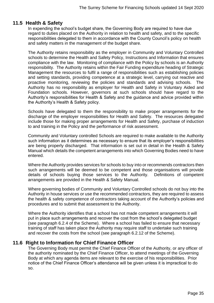# <span id="page-34-0"></span>**11.5 Health & Safety**

In expending the school's budget share, the Governing Body are required to have due regard to duties placed on the Authority in relation to health and safety, and to the specific responsibilities delegated to them in accordance with the County Council's policy on health and safety matters in the management of the budget share.

The Authority retains responsibility as the employer in Community and Voluntary Controlled schools to determine the Health and Safety Policy, Instructions and Information that ensures compliance with the law. Monitoring of compliance with the Policy by schools is an Authority responsibility. The Authority retains within the Fair Funding expenditure heading of Strategic Management the resources to fulfil a range of responsibilities such as establishing policies and setting standards, providing competence at a strategic level, carrying out reactive and proactive monitoring, reviewing the policies and standards and advising schools. The Authority has no responsibility as employer for Health and Safety in Voluntary Aided and Foundation schools. However, governors at such schools should have regard to the Authority's responsibilities for Health & Safety and the guidance and advice provided within the Authority's Health & Safety policy.

Schools have delegated to them the responsibility to make proper arrangements for the discharge of the employer responsibilities for Health and Safety. The resources delegated include those for making proper arrangements for Health and Safety, purchase of induction to and training in the Policy and the performance of risk assessment.

Community and Voluntary controlled Schools are required to make available to the Authority such information as it determines as necessary to ensure that its employer's responsibilities are being properly discharged. That information is set out in detail in the Health & Safety Manual which details the competent arrangements into which Governing Bodies need to have entered.

Where the Authority provides services for schools to buy into or recommends contractors then such arrangements will be deemed to be competent and those organisations will provide details of schools buying those services to the Authority. Definitions of competent arrangements are provided in the Health & Safety Manual.

Where governing bodies of Community and Voluntary Controlled schools do not buy into the Authority in house services or use the recommended contractors, they are required to assess the health & safety competence of contractors taking account of the Authority's policies and procedures and to submit that assessment to the Authority.

Where the Authority identifies that a school has not made competent arrangements it will put in place such arrangements and recover the cost from the school's delegated budget (see paragraph 6.2.4 of the Scheme). Where a school has failed to ensure that necessary training of staff has taken place the Authority may require staff to undertake such training and recover the costs from the school (see paragraph 6.2.12 of the Scheme).

# <span id="page-34-1"></span>**11.6 Right to Information for Chief Finance Officer**

The Governing Body must permit the Chief Finance Officer of the Authority, or any officer of the authority nominated by the Chief Finance Officer, to attend meetings of the Governing Body at which any agenda items are relevant to the exercise of his responsibilities. Prior notice of the Chief Finance Officer's attendance will be given unless it is impractical to do so.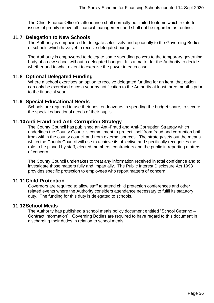The Chief Finance Officer's attendance shall normally be limited to items which relate to issues of probity or overall financial management and shall not be regarded as routine.

# <span id="page-35-0"></span>**11.7 Delegation to New Schools**

The Authority is empowered to delegate selectively and optionally to the Governing Bodies of schools which have yet to receive delegated budgets.

The Authority is empowered to delegate some spending powers to the temporary governing body of a new school without a delegated budget. It is a matter for the Authority to decide whether and to what extent to exercise the power in each case.

# <span id="page-35-1"></span>**11.8 Optional Delegated Funding**

Where a school exercises an option to receive delegated funding for an item, that option can only be exercised once a year by notification to the Authority at least three months prior to the financial year.

#### <span id="page-35-2"></span>**11.9 Special Educational Needs**

Schools are required to use their best endeavours in spending the budget share, to secure the special educational needs of their pupils.

## <span id="page-35-3"></span>**11.10Anti-Fraud and Anti-Corruption Strategy**

The County Council has published an Anti-Fraud and Anti-Corruption Strategy which underlines the County Council's commitment to protect itself from fraud and corruption both from within the county council and from external sources. The strategy sets out the means which the County Council will use to achieve its objective and specifically recognizes the role to be played by staff, elected members, contractors and the public in reporting matters of concern.

The County Council undertakes to treat any information received in total confidence and to investigate those matters fully and impartially. The Public Interest Disclosure Act 1998 provides specific protection to employees who report matters of concern.

## <span id="page-35-4"></span>**11.11Child Protection**

Governors are required to allow staff to attend child protection conferences and other related events where the Authority considers attendance necessary to fulfil its statutory duty. The funding for this duty is delegated to schools.

#### <span id="page-35-5"></span>**11.12School Meals**

The Authority has published a school meals policy document entitled "School Catering – Contract Information". Governing Bodies are required to have regard to this document in discharging their duties in relation to school meals.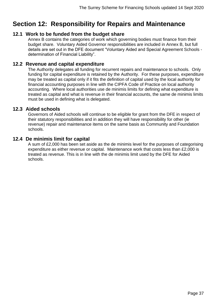# <span id="page-36-0"></span>**Section 12: Responsibility for Repairs and Maintenance**

# <span id="page-36-1"></span>**12.1 Work to be funded from the budget share**

Annex B contains the categories of work which governing bodies must finance from their budget share. Voluntary Aided Governor responsibilities are included in Annex B, but full details are set out in the DFE document "Voluntary Aided and Special Agreement Schools determination of Financial Liability".

# <span id="page-36-2"></span>**12.2 Revenue and capital expenditure**

The Authority delegates all funding for recurrent repairs and maintenance to schools. Only funding for capital expenditure is retained by the Authority. For these purposes, expenditure may be treated as capital only if it fits the definition of capital used by the local authority for financial accounting purposes in line with the CIPFA Code of Practice on local authority accounting. Where local authorities use de minimis limits for defining what expenditure is treated as capital and what is revenue in their financial accounts, the same de minimis limits must be used in defining what is delegated.

#### <span id="page-36-3"></span>**12.3 Aided schools**

Governors of Aided schools will continue to be eligible for grant from the DFE in respect of their statutory responsibilities and in addition they will have responsibility for other (ie revenue) repair and maintenance items on the same basis as Community and Foundation schools.

## <span id="page-36-4"></span>**12.4 De minimis limit for capital**

A sum of £2,000 has been set aside as the de minimis level for the purposes of categorising expenditure as either revenue or capital. Maintenance work that costs less than £2,000 is treated as revenue. This is in line with the de minimis limit used by the DFE for Aided schools.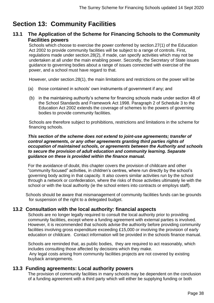# <span id="page-37-0"></span>**Section 13: Community Facilities**

# <span id="page-37-1"></span>**13.1 The Application of the Scheme for Financing Schools to the Community Facilities powers**

Schools which choose to exercise the power conferred by section.27(1) of the Education Act 2002 to provide community facilities will be subject to a range of controls. First, regulations made under section.28(2), if made, can specify activities which may not be undertaken at all under the main enabling power. Secondly, the Secretary of State issues guidance to governing bodies about a range of issues connected with exercise of the power, and a school must have regard to that.

However, under section.28(1), the main limitations and restrictions on the power will be

- (a) those contained in schools' own instruments of government if any; and
- (b) in the maintaining authority's scheme for financing schools made under section 48 of the School Standards and Framework Act 1998. Paragraph 2 of Schedule 3 to the Education Act 2002 extends the coverage of schemes to the powers of governing bodies to provide community facilities.

Schools are therefore subject to prohibitions, restrictions and limitations in the scheme for financing schools.

#### *This section of the scheme does not extend to joint-use agreements; transfer of control agreements, or any other agreements granting third parties rights of occupation of maintained schools, or agreements between the Authority and schools to secure the provision of adult education and community learning. Separate guidance on these is provided within the finance manual.*

For the avoidance of doubt, this chapter covers the provision of childcare and other "community focused" activities, in children's centres, where run directly by the school's governing body acting in that capacity. It also covers similar activities run by the school through a network or confederation, where the risks of those activities ultimately lie with the school or with the local authority (ie the school enters into contracts or employs staff).

Schools should be aware that mismanagement of community facilities funds can be grounds for suspension of the right to a delegated budget.

# <span id="page-37-2"></span>**13.2 Consultation with the local authority: financial aspects**

Schools are no longer legally required to consult the local authority prior to providing community facilities, except where a funding agreement with external parties is involved. However, it is recommended that schools advise the authiority before providing community facilities involving gross expenditure exceeding £15,000 or involving the provision of early education or childcare. Contact information will be provided in the schools finance manual.

Schools are reminded that, as public bodies, they are required to act reasonably, which includes consulting those affected by decisions which they make. Any legal costs arising from community facilities projects are not covered by existing buyback arrangements.

## <span id="page-37-3"></span>**13.3 Funding agreements: Local authority powers**

The provision of community facilities in many schools may be dependent on the conclusion of a funding agreement with a third party which will either be supplying funding or both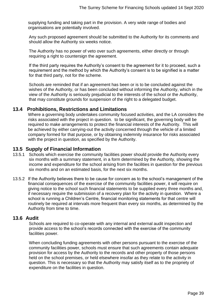supplying funding and taking part in the provision. A very wide range of bodies and organisations are potentially involved.

Any such proposed agreement should be submitted to the Authority for its comments and should allow the Authority six weeks notice.

The Authority has no power of veto over such agreements, either directly or through requiring a right to countersign the agreement.

If the third party requires the Authority's consent to the agreement for it to proceed, such a requirement and the method by which the Authority's consent is to be signified is a matter for that third party, not for the scheme.

Schools are reminded that if an agreement has been or is to be concluded against the wishes of the Authority, or has been concluded without informing the Authority, which in the view of the Authority is seriously prejudicial to the interests of the school or the Authority, that may constitute grounds for suspension of the right to a delegated budget.

## <span id="page-38-0"></span>**13.4 Prohibitions, Restrictions and Limitations**

Where a governing body undertakes community focused activities, and the LA considers the risks associated with the project in question. to be significant, the governing body will be required to make arrangements to protect the financial interests of the Authority. This will be achieved by either carrying-out the activity concerned through the vehicle of a limited company formed for that purpose, or by obtaining indemnity insurance for risks associated with the project in question, as specified by the Authority.

#### <span id="page-38-1"></span>**13.5 Supply of Financial Information**

- 13.5.1 Schools which exercise the community facilities power should provide the Authority every six months with a summary statement, in a form determined by the Authority, showing the income and expenditure for the school arising from the facilities in question for the previous six months and on an estimated basis, for the next six months.
- 13.5.2 If the Authority believes there to be cause for concern as to the school's management of the financial consequences of the exercise of the community facilities power, it will require on giving notice to the school such financial statements to be supplied every three months and, if necessary require the submission of a recovery plan for the activity in question. Where a school is running a Children's Centre, financial monitoring statements for that centre will routinely be required at intervals more frequent than every six months, as determined by the Authority from time to time.

#### <span id="page-38-2"></span>**13.6 Audit**

Schools are required to co-operate with any internal and external audit inspection and provide access to the school's records connected with the exercise of the community facilities power.

When concluding funding agreements with other persons pursuant to the exercise of the community facilities power, schools must ensure that such agreements contain adequate provision for access by the Authority to the records and other property of those persons held on the school premises, or held elsewhere insofar as they relate to the activity in question. This is necessary so that the Authority may satisfy itself as to the propriety of expenditure on the facilities in question.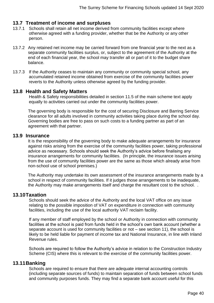# <span id="page-39-0"></span>**13.7 Treatment of income and surpluses**

- 13.7.1 Schools shall retain all net income derived from community facilities except where otherwise agreed with a funding provider, whether that be the Authority or any other person.
- 13.7.2 Any retained net income may be carried forward from one financial year to the next as a separate community facilities surplus, or, subject to the agreement of the Authority at the end of each financial year, the school may transfer all or part of it to the budget share balance.
- 13.7.3 If the Authority ceases to maintain any community or community special school, any accumulated retained income obtained from exercise of the community facilities power reverts to the Authority unless otherwise agreed by the funding provider.

## <span id="page-39-1"></span>**13.8 Health and Safety Matters**

Health & Safety responsibilities detailed in section 11.5 of the main scheme text apply equally to activities carried out under the community facilities power.

The governing body is responsible for the cost of securing Disclosure and Barring Service clearance for all adults involved in community activities taking place during the school day. Governing bodies are free to pass on such costs to a funding partner as part of an agreement with that partner.

#### <span id="page-39-2"></span>**13.9 Insurance**

It is the responsibility of the governing body to make adequate arrangements for insurance against risks arising from the exercise of the community facilities power, taking professional advice as necessary. Schools should seek the Authority's advice before finalising any insurance arrangements for community facilities. (In principle, the insurance issues arising from the use of community facilities power are the same as those which already arise from non-school use of school premises.)

The Authority may undertake its own assessment of the insurance arrangements made by a school in respect of community facilities. If it judges those arrangements to be inadequate, the Authority may make arrangements itself and charge the resultant cost to the school. .

## <span id="page-39-3"></span>**13.10Taxation**

Schools should seek the advice of the Authority and the local VAT office on any issue relating to the possible imposition of VAT on expenditure in connection with community facilities, including the use of the local authority VAT reclaim facility.

If any member of staff employed by the school or Authority in connection with community facilities at the school is paid from funds held in the school's own bank account (whether a separate account is used for community facilities or not – see section 11), the school is likely to be held liable for payment of income tax and National Insurance, in line with Inland Revenue rules.

Schools are required to follow the Authority's advice in relation to the Construction Industry Scheme (CIS) where this is relevant to the exercise of the community facilities power.

## <span id="page-39-4"></span>**13.11Banking**

Schools are required to ensure that there are adequate internal accounting controls (including separate sources of funds) to maintain separation of funds between school funds and community purposes funds. They may find a separate bank account useful for this